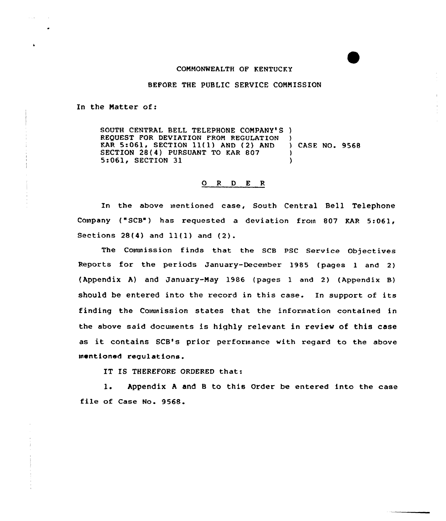### COMMONWEALTH OF KENTUCKY

### BEFORE THE PUBLIC SERVICE COMMISSION

In the Matter of:

SOUTH CENTRAL BELL TELEPHONE COMPANY'S ) REQUEST FOR DEVIATION FROM REGULATION )<br>
KAR 5:061, SECTION 11(1) AND (2) AND ) CASE NO. 9568 EXAR 5:061, SECTION 11(1) AND (2) AND )<br>SECTION 28(4) PURSUANT TO KAR 807 SECTION 28(4) PURSUANT TO KAR 807  $\left( \begin{array}{ccc} 0.1 & 0 & 0 \\ 0.1 & 0 & 0 \\ 0 & 0 & 0 \end{array} \right)$ 5:061, SECTION 31

## 0 <sup>R</sup> <sup>D</sup> E <sup>R</sup>

In the above mentioned case, South Central Bell Telephone Company ("SCB") has requested a deviation from 807 KAR 5:061, Sections  $28(4)$  and  $11(1)$  and  $(2)$ .

The Commission finds that the SCB PSC Service Objectives Reports for the periods January-December 1985 (pages <sup>1</sup> and 2) (Appendix A) and January-May 1986 (pages 1 and 2) (Appendix B) should be entered into the record in this case. In support of its finding the Couunission states that the information contained in the above said documents is highly relevant in review of this case as it contains SCB's prior performance with regard to the above mentioned regu1atfons.

IT IS THEREFORE ORDERED that:

l. Appendix <sup>A</sup> and <sup>B</sup> to this Order be entered into the case file of Case No. 9568.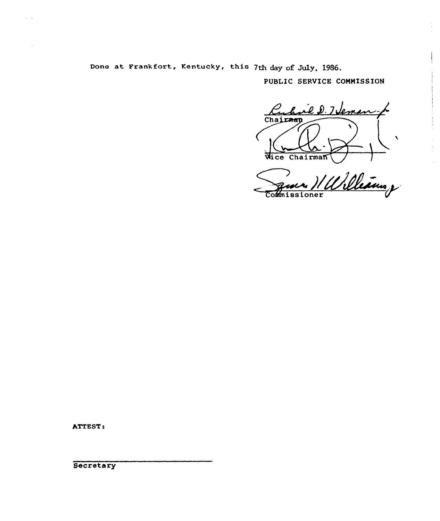Done at Frankfort, Kentucky, this 7th day of July, 1986.

PUBLIC SERVICE COMMISSION

hail D. 7 Jeman Chairman Wice Chairman

Williams , Commissioner

ATTEST: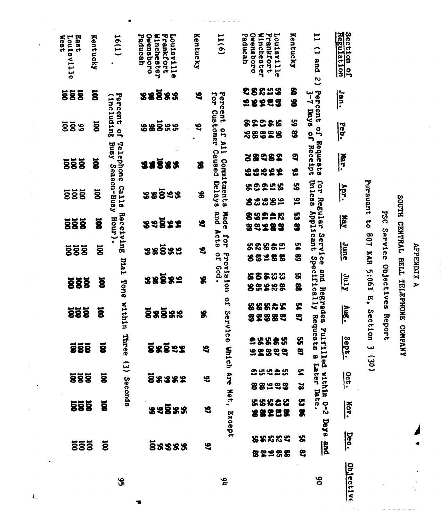| <b>888</b><br><b>888</b><br>888<br><b>888</b><br><b>555</b> | $\overline{\mathbf{g}}$<br>ã<br>ā<br>ğ<br>ā | within<br>Three<br>$\tilde{c}$<br><b>Seconda</b> | និននីនន<br><b>88892</b><br><b>88882</b><br>នទទីនន<br>88888           | S<br>5<br>S<br>9<br>$\mathbf{c}$ | Servi<br>ce<br>G<br>Which Are Net,<br>Except | 88825<br><b>T382</b><br>ၛၟ<br>2552<br>ပ္ပု<br>52829<br>259425<br>88233<br>55842<br>88228<br>88882<br>82998 | ሄ<br>3<br><b>ហ្គ</b><br>S<br>ድ<br>$\tilde{\mathbf{z}}$<br>없<br>8<br>S.<br>3 | Regrades<br>Requ<br>$\overline{\mathbf{v}}$<br><b>ests</b><br>mitiled<br>ø<br>Later Date<br>within<br><u>გ.</u><br><b>Daya</b><br>$\frac{1}{2}$ | $\frac{1}{2}$<br>Sept.<br>$rac{1}{200}$<br>Nov.<br><u>bec.</u><br>Objective |
|-------------------------------------------------------------|---------------------------------------------|--------------------------------------------------|----------------------------------------------------------------------|----------------------------------|----------------------------------------------|------------------------------------------------------------------------------------------------------------|-----------------------------------------------------------------------------|-------------------------------------------------------------------------------------------------------------------------------------------------|-----------------------------------------------------------------------------|
| 888                                                         | $\overline{\mathbf{g}}$                     | <b>Dia1</b><br>Tone                              | ននទីនន                                                               | g                                | <b>Provision</b><br>.pop<br>o,               | 8855<br>8<br><b>328</b><br>$\boldsymbol{\mathsf{s}}$<br>8                                                  | S,<br>嚣                                                                     | Applicant Specifically<br>pue                                                                                                                   | $\frac{1}{2}$                                                               |
| 888                                                         | $\overline{8}$                              | Receiving<br>Hour).                              | នននីនឌ                                                               | $\mathbf{e}$                     | Acta<br>Tor<br>g                             | 39283<br>58855<br>8328<br>窑                                                                                | 3<br>الا<br>ح<br>3                                                          | Service                                                                                                                                         | June                                                                        |
| <b>888</b><br>888                                           | $\overline{\mathbf{g}}$<br>ğ                | Season-Busy<br><b>Calla</b>                      | និន្នន័ន<br>ននទ្ទិនន                                                 | 86<br>9                          | Commitments<br><b>Delays</b><br>Made<br>pue  | 53255<br>ននឌនន<br><b>3228</b><br>8                                                                         | ပ္ထ<br>$\mathbf{5}$<br>ပ္ပ                                                  | <b>Unless</b><br>for<br>Regular                                                                                                                 | Apr.<br>May                                                                 |
| 888                                                         | ă                                           | Telephone<br>Busy                                | <b>38583</b>                                                         | 8                                | LIV<br>Caused                                | 58282<br>မ္မ<br>2888                                                                                       | 3<br>33                                                                     | Requests<br>Receipt                                                                                                                             | Mar.                                                                        |
| <b>585</b><br>55 <sup>o</sup>                               | $\overline{8}$<br>ğ                         | Percent<br>(including<br>g                       | <b>88883</b><br>ននទី<br><b>98</b>                                    | S<br>$\mathbf{S}$                | Percent<br><b>Tor</b><br>Customer<br>D       | 98855<br>58288<br>82868<br>88828                                                                           | S<br>8<br>ပ္စာ<br>89                                                        | Percent of Pays<br>g<br>o,                                                                                                                      | Jan.<br>Feb.                                                                |
| East<br>Louisville<br>West                                  | Kentucky                                    | 16(1)                                            | <b>Frankfort</b><br>Ovensboro<br>Winchester<br>Louisville<br>Paducah | Kentucky                         | 11(6)                                        | Prankfort<br>Ouensboro<br>Winchester<br>Paducah<br>Louisville                                              | Kentucky                                                                    | $\mathbf{1}$<br>$\hat{L}$<br>and<br>$\tilde{c}$                                                                                                 | Section of<br>Regulation                                                    |

 $\frac{1}{2}$ 

 $\frac{1}{2}$ 

 $\frac{1}{2}$ 

 $\bar{\mathbf{r}}$ 

APPENDIX A

SOUTH CENTRAL BELL TELEPHONE COMPANY

PSC Service Objectives Report

Pursuant to 807 KAR 5:061 E, Section 3 (30)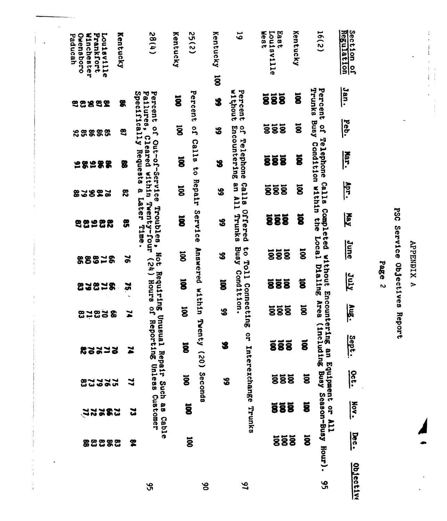| <b>Winchester</b><br>Prankfort<br>Louisville<br>Ouensboro<br>Paducah | Kentucky                    | (1)86                                              | Kentucky                | 55(2)                          | Kentucky  | 5                                | <b>Nest</b><br>Louisville<br>East | Kentucky                | 16(2)                            | Regulation<br>Section<br>9 |           |
|----------------------------------------------------------------------|-----------------------------|----------------------------------------------------|-------------------------|--------------------------------|-----------|----------------------------------|-----------------------------------|-------------------------|----------------------------------|----------------------------|-----------|
| 2282<br>S.                                                           | \$                          | Percent of<br>Failures,                            | $\overline{8}$          | Percent                        | ã<br>\$   | without<br>Percent               | 888                               | ğ                       | Trunks<br>Percent                | Jan.                       |           |
| 88888                                                                | $\boldsymbol{\mathfrak{B}}$ | 9                                                  | ã                       | $\overline{\mathbf{5}}$        | အိ        | <b>o</b>                         | <u>ទីទីទី</u>                     | $\ddot{\mathbf{g}}$     | Rusy                             | Feb.                       |           |
| 198588                                                               | 魯                           | Specifically Requests<br>Cleared<br>Out-of-Service | ğ                       | Calls<br>$\vec{c}$             | 3         | Encountering<br>Telephone        | 888                               | ğ                       | of Telephone<br>Condition within | Ner.                       |           |
| 382<br>8<br>$\mathbf{a}$                                             | ౘ                           | ø                                                  | ă                       | <b>Repair</b>                  | 8         | gn<br><b>Calla</b>               | 888                               | $\overline{\mathbf{g}}$ | Calls                            | Apr.                       |           |
| E.<br>8<br>82<br>8                                                   | <b>SP</b>                   | within Twenty-four<br>Later<br>Troubles,<br>Time   | $\overline{\mathbf{g}}$ | Service                        | န္တ       | All Trunks<br>Offered            | <b>888</b>                        | ğ                       | Completed<br>eus-                | $\overline{\mathbf{A}}$    |           |
| <b>88828</b>                                                         | $\geq$                      | Not                                                | ğ                       |                                | န္ထ       | <b>Busy</b>                      | <b>585</b>                        | <b>U</b>                | Local                            | June                       |           |
| 2878<br>g                                                            | $\mathbf{z}$                | (24) Hours<br>Requiring Unusual                    | ă                       | Answered within                | ă         | to Toll Connecting<br>Condition. | 888                               | ã                       | uthout<br>Dialing                | Trnc                       | Page<br>N |
| <b>82</b><br><b>25</b><br>æ                                          | $\mathbf{r}$                |                                                    | ă                       |                                | \$        |                                  | <b>585</b>                        | ă                       | Encountering<br>Area             | Aug.                       |           |
| 22272                                                                | z                           | of Reporting Unless Customer                       | $\overline{8}$          | Twen<br>$(62)$ (20)            | $\bullet$ | $\bullet$<br>ă                   | <b>888</b>                        | $\tilde{\mathbf{g}}$    | (Including Busy<br>g             | Sept.                      |           |
| <b>22222</b><br>ၕ                                                    | ય                           | Repair Such                                        |                         | Seconda<br>$\ddot{\mathbf{g}}$ | န္တ       |                                  | <b>888</b>                        | ā                       | Equipment or                     | $rac{1}{2}$                |           |
| 282<br>$\tilde{z}$                                                   | ین                          | 8<br>8                                             |                         | ã                              |           | Interexchange Trunks             | <b>888</b>                        | ã                       |                                  | <b>Nov.</b>                |           |
| 88888                                                                |                             | Cable<br>2                                         |                         | ä                              |           |                                  | <b>888</b>                        | ã                       | Season-Busy Hour).<br>EV         | <b>Dec.</b>                |           |
|                                                                      |                             | 95                                                 |                         | 8ò                             |           | 97                               |                                   |                         | 95                               | Objective                  |           |

 $\ddot{\phantom{a}}$ 

Í

 $\bar{t}$  $\bar{t}$ 

 $\overline{\phantom{a}}$ 

 $\ddot{\phantom{0}}$ 

APPENDIX A

 $\ddot{\ddot{\bullet}}$ 

 $\begin{array}{c} \star \\ \star \\ \star \end{array}$ 

 $\overline{a}$ 

PSC Service Objectives Report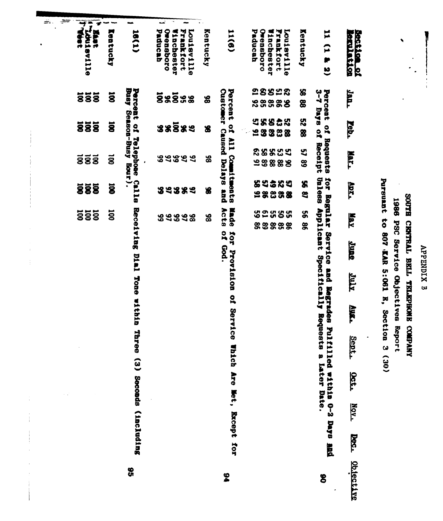**Exast**<br>| Tribuisville<br>| Tribuisville **Section** of Paducah Orensboro  $11(6)$ 18(1) Vinchester Frankfort Orensboro **Frankfort** Louisville Kentucky Paducah Winchester Kentucky Kentucky **Louisville**  $11(1$  $\bullet$ F 28828 Busy Season-Busy Hour). Percent of Telephone Calls Percent of All Commitments 8 Jan. Customer Caused Delays and 3-7 Days of Receipt Percent of Requests  $\overline{a}$ នីននីនន **888** 8 88888 88 88 ZS 58828 **888 Peb.**  $\ddot{a}$ នននីនន 8 98388 28834  $\mathbf{r}$ Mar.  $\overline{8}$  $\overline{8}$  $\overline{8}$  $\tilde{g}$ 84844 86 38882 89 for Regular Service and Regrades Pulfilled withis 0-2 Days And<br>Unless Applicant Specifically Requests a Later Date. Pursuant to 807 KAR 5:061 E, Section 3 (30) 82388<br>8838 S. Arx. **SSS**  $\overline{8}$ **39389** S  $\mathbf{e}$ SOUTH CENTRAL BELL TELEPHONE COMPANY 1986 PSC Service Objectives Report Receiving Dial Tone within Three (3) Seconds (including Made Acts **92585 SSS SOI** 9S **AUR** 89998 88 **88888**  $\frac{8}{2}$ of God. for Provision of Service Which Are Met, Except for **Suns ATHT Aug.** Sept. 7320 Nov. **Dec.** <u>Objective</u>  $\mathbf{3}$ \$6 8

**APPENDIX B** 

÷.

÷

تمد